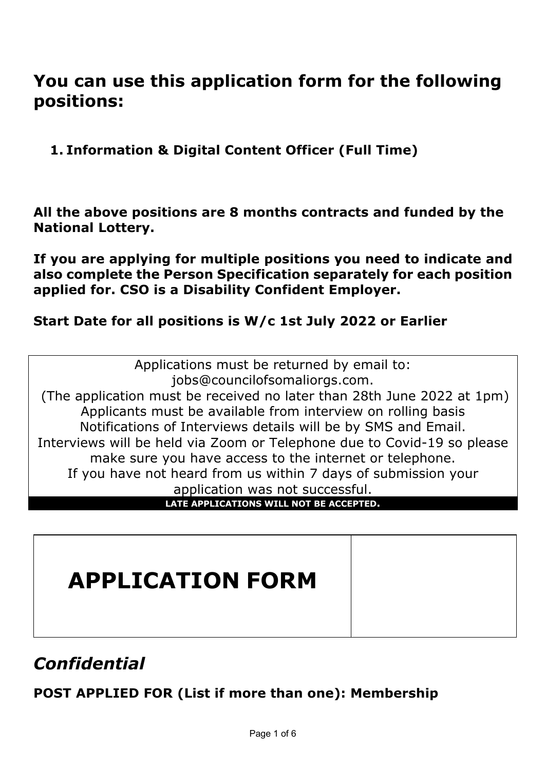# **You can use this application form for the following positions:**

**1. Information & Digital Content Officer (Full Time)**

**All the above positions are 8 months contracts and funded by the National Lottery.**

**If you are applying for multiple positions you need to indicate and also complete the Person Specification separately for each position applied for. CSO is a Disability Confident Employer.**

# **Start Date for all positions is W/c 1st July 2022 or Earlier**

Applications must be returned by email to: jobs@councilofsomaliorgs.com. (The application must be received no later than 28th June 2022 at 1pm) Applicants must be available from interview on rolling basis Notifications of Interviews details will be by SMS and Email. Interviews will be held via Zoom or Telephone due to Covid-19 so please make sure you have access to the internet or telephone. If you have not heard from us within 7 days of submission your application was not successful.

**LATE APPLICATIONS WILL NOT BE ACCEPTED.**

# **APPLICATION FORM**

# *Confidential*

# **POST APPLIED FOR (List if more than one): Membership**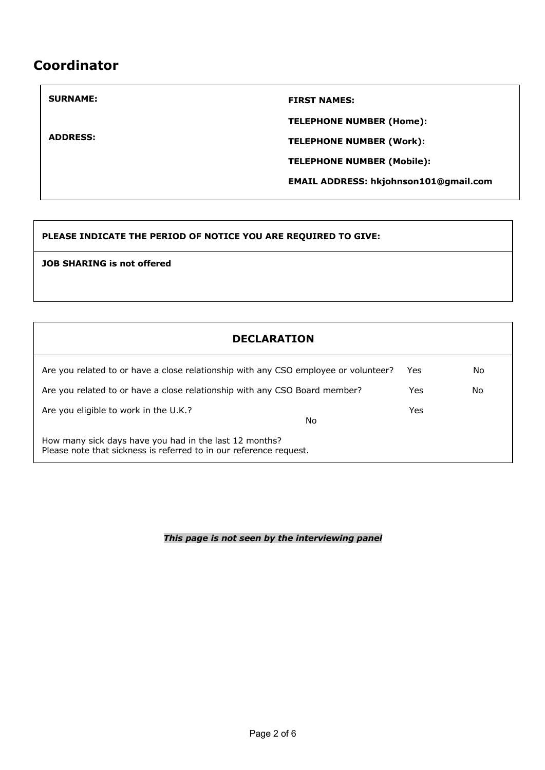# **Coordinator**

**ADDRESS:** 

#### **SURNAME:** FIRST NAMES:

**TELEPHONE NUMBER (Home):** 

**TELEPHONE NUMBER (Work):**

**TELEPHONE NUMBER (Mobile):**

**EMAIL ADDRESS: hkjohnson101@gmail.com**

#### **PLEASE INDICATE THE PERIOD OF NOTICE YOU ARE REQUIRED TO GIVE:**

**JOB SHARING is not offered**

| <b>DECLARATION</b>                                                                                                           |      |     |
|------------------------------------------------------------------------------------------------------------------------------|------|-----|
| Are you related to or have a close relationship with any CSO employee or volunteer?                                          | Yes. | No. |
| Are you related to or have a close relationship with any CSO Board member?                                                   | Yes. | No. |
| Are you eligible to work in the U.K.?<br>No                                                                                  | Yes  |     |
| How many sick days have you had in the last 12 months?<br>Please note that sickness is referred to in our reference request. |      |     |

*This page is not seen by the interviewing panel*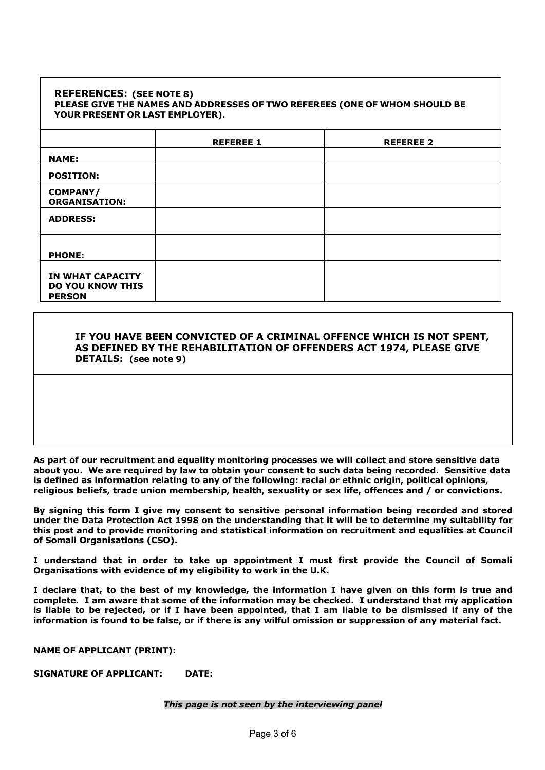#### **REFERENCES: (SEE NOTE 8) PLEASE GIVE THE NAMES AND ADDRESSES OF TWO REFEREES (ONE OF WHOM SHOULD BE YOUR PRESENT OR LAST EMPLOYER).**

|                                                                     | <b>REFEREE 1</b> | <b>REFEREE 2</b> |
|---------------------------------------------------------------------|------------------|------------------|
| <b>NAME:</b>                                                        |                  |                  |
| <b>POSITION:</b>                                                    |                  |                  |
| <b>COMPANY/</b><br><b>ORGANISATION:</b>                             |                  |                  |
| <b>ADDRESS:</b>                                                     |                  |                  |
| <b>PHONE:</b>                                                       |                  |                  |
| <b>IN WHAT CAPACITY</b><br><b>DO YOU KNOW THIS</b><br><b>PERSON</b> |                  |                  |

#### **IF YOU HAVE BEEN CONVICTED OF A CRIMINAL OFFENCE WHICH IS NOT SPENT, AS DEFINED BY THE REHABILITATION OF OFFENDERS ACT 1974, PLEASE GIVE DETAILS: (see note 9)**

**As part of our recruitment and equality monitoring processes we will collect and store sensitive data about you. We are required by law to obtain your consent to such data being recorded. Sensitive data is defined as information relating to any of the following: racial or ethnic origin, political opinions, religious beliefs, trade union membership, health, sexuality or sex life, offences and / or convictions.** 

**By signing this form I give my consent to sensitive personal information being recorded and stored under the Data Protection Act 1998 on the understanding that it will be to determine my suitability for this post and to provide monitoring and statistical information on recruitment and equalities at Council of Somali Organisations (CSO).** 

**I understand that in order to take up appointment I must first provide the Council of Somali Organisations with evidence of my eligibility to work in the U.K.**

**I declare that, to the best of my knowledge, the information I have given on this form is true and complete. I am aware that some of the information may be checked. I understand that my application is liable to be rejected, or if I have been appointed, that I am liable to be dismissed if any of the information is found to be false, or if there is any wilful omission or suppression of any material fact.**

**NAME OF APPLICANT (PRINT):**

**SIGNATURE OF APPLICANT: DATE:**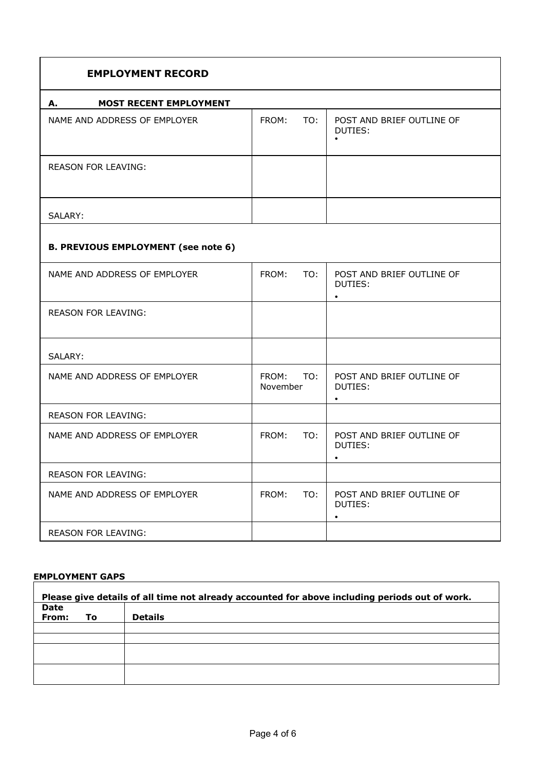| <b>EMPLOYMENT RECORD</b>                   |                          |                                                   |
|--------------------------------------------|--------------------------|---------------------------------------------------|
| <b>MOST RECENT EMPLOYMENT</b><br>А.        |                          |                                                   |
| NAME AND ADDRESS OF EMPLOYER               | FROM:<br>TO:             | POST AND BRIEF OUTLINE OF<br>DUTIES:              |
| <b>REASON FOR LEAVING:</b>                 |                          |                                                   |
| SALARY:                                    |                          |                                                   |
| <b>B. PREVIOUS EMPLOYMENT (see note 6)</b> |                          |                                                   |
| NAME AND ADDRESS OF EMPLOYER               | FROM:<br>TO:             | POST AND BRIEF OUTLINE OF<br>DUTIES:<br>$\bullet$ |
| <b>REASON FOR LEAVING:</b>                 |                          |                                                   |
| SALARY:                                    |                          |                                                   |
| NAME AND ADDRESS OF EMPLOYER               | FROM:<br>TO:<br>November | POST AND BRIEF OUTLINE OF<br>DUTIES:<br>$\bullet$ |
| <b>REASON FOR LEAVING:</b>                 |                          |                                                   |
| NAME AND ADDRESS OF EMPLOYER               | FROM:<br>TO:             | POST AND BRIEF OUTLINE OF<br>DUTIES:<br>$\bullet$ |
| <b>REASON FOR LEAVING:</b>                 |                          |                                                   |
| NAME AND ADDRESS OF EMPLOYER               | FROM:<br>TO:             | POST AND BRIEF OUTLINE OF<br>DUTIES:<br>$\bullet$ |
| <b>REASON FOR LEAVING:</b>                 |                          |                                                   |

# **EMPLOYMENT GAPS**

| Please give details of all time not already accounted for above including periods out of work. |    |                |  |  |  |
|------------------------------------------------------------------------------------------------|----|----------------|--|--|--|
| <b>Date</b>                                                                                    |    |                |  |  |  |
| From:                                                                                          | Τo | <b>Details</b> |  |  |  |
|                                                                                                |    |                |  |  |  |
|                                                                                                |    |                |  |  |  |
|                                                                                                |    |                |  |  |  |
|                                                                                                |    |                |  |  |  |
|                                                                                                |    |                |  |  |  |
|                                                                                                |    |                |  |  |  |
|                                                                                                |    |                |  |  |  |

1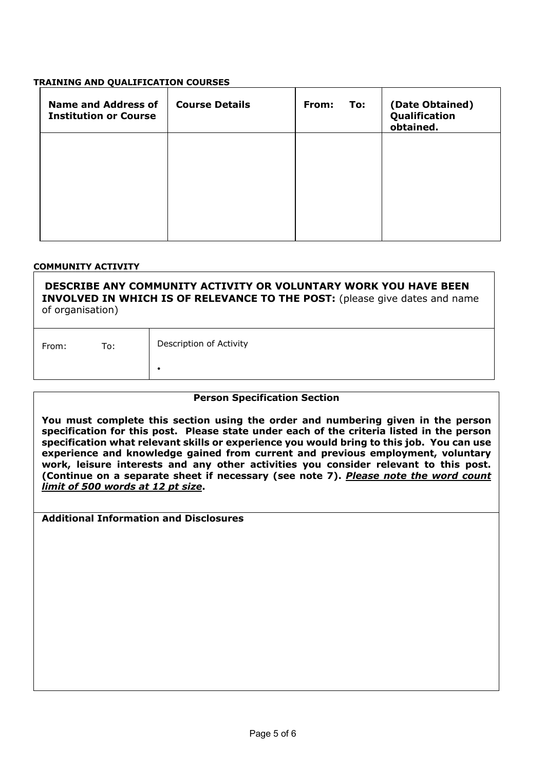#### **TRAINING AND QUALIFICATION COURSES**

| <b>Name and Address of</b><br><b>Institution or Course</b> | <b>Course Details</b> | From:<br>To: | (Date Obtained)<br>Qualification<br>obtained. |
|------------------------------------------------------------|-----------------------|--------------|-----------------------------------------------|
|                                                            |                       |              |                                               |
|                                                            |                       |              |                                               |
|                                                            |                       |              |                                               |

#### **COMMUNITY ACTIVITY**

**DESCRIBE ANY COMMUNITY ACTIVITY OR VOLUNTARY WORK YOU HAVE BEEN INVOLVED IN WHICH IS OF RELEVANCE TO THE POST:** (please give dates and name of organisation)

| From: | To: | Description of Activity |
|-------|-----|-------------------------|
|       |     |                         |

#### **Person Specification Section**

**You must complete this section using the order and numbering given in the person specification for this post. Please state under each of the criteria listed in the person specification what relevant skills or experience you would bring to this job. You can use experience and knowledge gained from current and previous employment, voluntary work, leisure interests and any other activities you consider relevant to this post. (Continue on a separate sheet if necessary (see note 7).** *Please note the word count limit of 500 words at 12 pt size***.**

**Additional Information and Disclosures**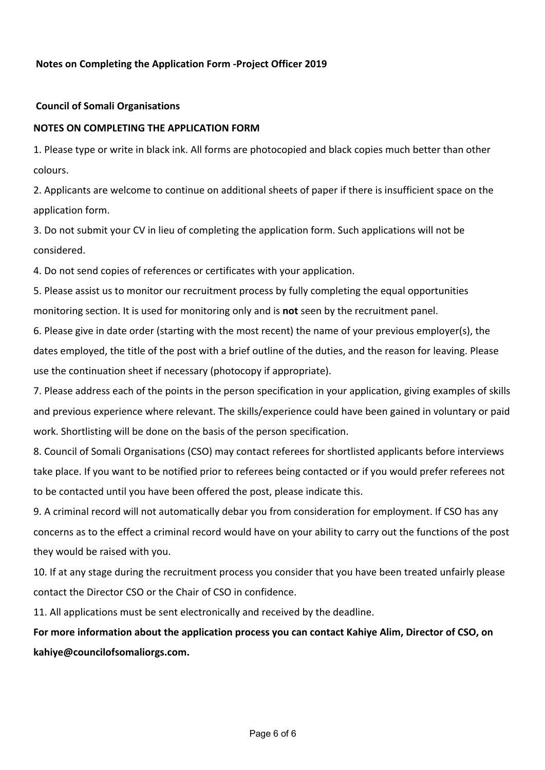#### **Notes on Completing the Application Form -Project Officer 2019**

#### **Council of Somali Organisations**

#### **NOTES ON COMPLETING THE APPLICATION FORM**

1. Please type or write in black ink. All forms are photocopied and black copies much better than other colours.

2. Applicants are welcome to continue on additional sheets of paper if there is insufficient space on the application form.

3. Do not submit your CV in lieu of completing the application form. Such applications will not be considered.

4. Do not send copies of references or certificates with your application.

5. Please assist us to monitor our recruitment process by fully completing the equal opportunities monitoring section. It is used for monitoring only and is **not** seen by the recruitment panel.

6. Please give in date order (starting with the most recent) the name of your previous employer(s), the dates employed, the title of the post with a brief outline of the duties, and the reason for leaving. Please use the continuation sheet if necessary (photocopy if appropriate).

7. Please address each of the points in the person specification in your application, giving examples of skills and previous experience where relevant. The skills/experience could have been gained in voluntary or paid work. Shortlisting will be done on the basis of the person specification.

8. Council of Somali Organisations (CSO) may contact referees for shortlisted applicants before interviews take place. If you want to be notified prior to referees being contacted or if you would prefer referees not to be contacted until you have been offered the post, please indicate this.

9. A criminal record will not automatically debar you from consideration for employment. If CSO has any concerns as to the effect a criminal record would have on your ability to carry out the functions of the post they would be raised with you.

10. If at any stage during the recruitment process you consider that you have been treated unfairly please contact the Director CSO or the Chair of CSO in confidence.

11. All applications must be sent electronically and received by the deadline.

**For more information about the application process you can contact Kahiye Alim, Director of CSO, on kahiye@councilofsomaliorgs.com.**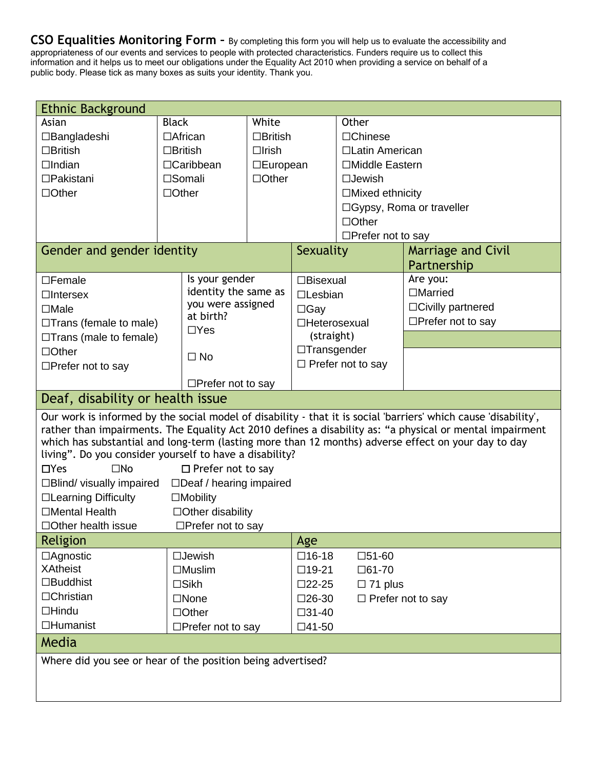**CSO Equalities Monitoring Form –** By completing this form you will help us to evaluate the accessibility and appropriateness of our events and services to people with protected characteristics. Funders require us to collect this information and it helps us to meet our obligations under the Equality Act 2010 when providing a service on behalf of a public body. Please tick as many boxes as suits your identity. Thank you.

| <b>Ethnic Background</b>                                                                                                                                                                                                                                                                                                                                                                                                                                                                                                                                                                                                                                                            |                  |                          |                 |                    |                            |                             |
|-------------------------------------------------------------------------------------------------------------------------------------------------------------------------------------------------------------------------------------------------------------------------------------------------------------------------------------------------------------------------------------------------------------------------------------------------------------------------------------------------------------------------------------------------------------------------------------------------------------------------------------------------------------------------------------|------------------|--------------------------|-----------------|--------------------|----------------------------|-----------------------------|
| Asian                                                                                                                                                                                                                                                                                                                                                                                                                                                                                                                                                                                                                                                                               | <b>Black</b>     |                          | White           |                    | Other                      |                             |
| $\Box$ Bangladeshi                                                                                                                                                                                                                                                                                                                                                                                                                                                                                                                                                                                                                                                                  | $\Box$ African   |                          | $\Box$ British  |                    | $\Box$ Chinese             |                             |
| $\Box$ British                                                                                                                                                                                                                                                                                                                                                                                                                                                                                                                                                                                                                                                                      | $\Box$ British   |                          | $\Box$ Irish    |                    | □Latin American            |                             |
| $\Box$ Indian                                                                                                                                                                                                                                                                                                                                                                                                                                                                                                                                                                                                                                                                       | $\Box$ Caribbean |                          | $\Box$ European |                    | □Middle Eastern            |                             |
| $\Box$ Pakistani                                                                                                                                                                                                                                                                                                                                                                                                                                                                                                                                                                                                                                                                    |                  | □Somali                  | $\Box$ Other    |                    | $\square$ Jewish           |                             |
| $\Box$ Other                                                                                                                                                                                                                                                                                                                                                                                                                                                                                                                                                                                                                                                                        | $\Box$ Other     |                          |                 |                    | $\Box$ Mixed ethnicity     |                             |
|                                                                                                                                                                                                                                                                                                                                                                                                                                                                                                                                                                                                                                                                                     |                  |                          |                 |                    | □ Gypsy, Roma or traveller |                             |
|                                                                                                                                                                                                                                                                                                                                                                                                                                                                                                                                                                                                                                                                                     |                  |                          |                 |                    | $\Box$ Other               |                             |
|                                                                                                                                                                                                                                                                                                                                                                                                                                                                                                                                                                                                                                                                                     |                  |                          |                 |                    | $\Box$ Prefer not to say   |                             |
| Gender and gender identity                                                                                                                                                                                                                                                                                                                                                                                                                                                                                                                                                                                                                                                          |                  |                          |                 | Sexuality          |                            | <b>Marriage and Civil</b>   |
|                                                                                                                                                                                                                                                                                                                                                                                                                                                                                                                                                                                                                                                                                     |                  |                          |                 |                    |                            | Partnership                 |
| $\square$ Female                                                                                                                                                                                                                                                                                                                                                                                                                                                                                                                                                                                                                                                                    |                  | Is your gender           |                 | $\Box$ Bisexual    |                            | Are you:                    |
| $\Box$ Intersex                                                                                                                                                                                                                                                                                                                                                                                                                                                                                                                                                                                                                                                                     |                  | identity the same as     |                 | $\square$ Lesbian  |                            | $\Box$ Married              |
| $\Box$ Male                                                                                                                                                                                                                                                                                                                                                                                                                                                                                                                                                                                                                                                                         |                  | you were assigned        |                 | $\Box$ Gay         |                            | $\Box$ Civilly partnered    |
| $\Box$ Trans (female to male)                                                                                                                                                                                                                                                                                                                                                                                                                                                                                                                                                                                                                                                       |                  | at birth?                |                 | □Heterosexual      |                            | $\Box$ Prefer not to say    |
| $\Box$ Trans (male to female)                                                                                                                                                                                                                                                                                                                                                                                                                                                                                                                                                                                                                                                       |                  | $\Box$ Yes               |                 | (straight)         |                            |                             |
| □Other                                                                                                                                                                                                                                                                                                                                                                                                                                                                                                                                                                                                                                                                              |                  | $\square$ No             |                 | $\Box$ Transgender |                            |                             |
| $\Box$ Prefer not to say                                                                                                                                                                                                                                                                                                                                                                                                                                                                                                                                                                                                                                                            |                  |                          |                 |                    | $\Box$ Prefer not to say   |                             |
|                                                                                                                                                                                                                                                                                                                                                                                                                                                                                                                                                                                                                                                                                     |                  | $\Box$ Prefer not to say |                 |                    |                            |                             |
| Deaf, disability or health issue                                                                                                                                                                                                                                                                                                                                                                                                                                                                                                                                                                                                                                                    |                  |                          |                 |                    |                            |                             |
| Our work is informed by the social model of disability - that it is social 'barriers' which cause 'disability',<br>rather than impairments. The Equality Act 2010 defines a disability as: "a physical or mental impairment<br>which has substantial and long-term (lasting more than 12 months) adverse effect on your day to day<br>living". Do you consider yourself to have a disability?<br>$\Box$ Yes<br>$\square$ No<br>$\Box$ Prefer not to say<br>$\Box$ Deaf / hearing impaired<br>$\Box$ Blind/ visually impaired<br>□Learning Difficulty<br>$\Box$ Mobility<br>$\Box$ Mental Health<br>$\Box$ Other disability<br>$\Box$ Prefer not to say<br>$\Box$ Other health issue |                  |                          |                 |                    |                            |                             |
| Religion                                                                                                                                                                                                                                                                                                                                                                                                                                                                                                                                                                                                                                                                            |                  |                          |                 | Age                |                            |                             |
| $\Box$ Agnostic                                                                                                                                                                                                                                                                                                                                                                                                                                                                                                                                                                                                                                                                     |                  | $\square$ Jewish         |                 | $\square$ 16-18    | $\square$ 51-60            |                             |
| <b>XAtheist</b>                                                                                                                                                                                                                                                                                                                                                                                                                                                                                                                                                                                                                                                                     |                  | $\Box$ Muslim            |                 | $\Box$ 19-21       | $\Box$ 61-70               |                             |
| $\square$ Buddhist                                                                                                                                                                                                                                                                                                                                                                                                                                                                                                                                                                                                                                                                  |                  | $\square$ Sikh           |                 | $\square$ 22-25    | $\Box$ 71 plus             |                             |
| □Christian                                                                                                                                                                                                                                                                                                                                                                                                                                                                                                                                                                                                                                                                          |                  | $\square$ None           |                 | $\square$ 26-30    |                            | $\square$ Prefer not to say |
| $\Box$ Hindu                                                                                                                                                                                                                                                                                                                                                                                                                                                                                                                                                                                                                                                                        |                  | $\Box$ Other             |                 | $\square$ 31-40    |                            |                             |
| $\Box$ Humanist                                                                                                                                                                                                                                                                                                                                                                                                                                                                                                                                                                                                                                                                     |                  | $\Box$ Prefer not to say |                 | $\Box$ 41-50       |                            |                             |
| Media                                                                                                                                                                                                                                                                                                                                                                                                                                                                                                                                                                                                                                                                               |                  |                          |                 |                    |                            |                             |
| Where did you see or hear of the position being advertised?                                                                                                                                                                                                                                                                                                                                                                                                                                                                                                                                                                                                                         |                  |                          |                 |                    |                            |                             |
|                                                                                                                                                                                                                                                                                                                                                                                                                                                                                                                                                                                                                                                                                     |                  |                          |                 |                    |                            |                             |
|                                                                                                                                                                                                                                                                                                                                                                                                                                                                                                                                                                                                                                                                                     |                  |                          |                 |                    |                            |                             |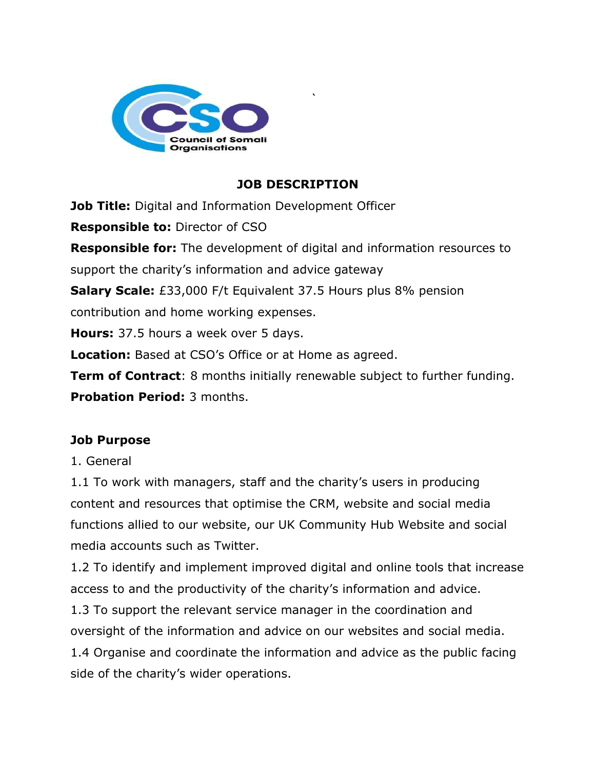

# **JOB DESCRIPTION**

 $\ddot{ }$ 

**Job Title:** Digital and Information Development Officer

**Responsible to:** Director of CSO

**Responsible for:** The development of digital and information resources to support the charity's information and advice gateway

**Salary Scale:** £33,000 F/t Equivalent 37.5 Hours plus 8% pension

contribution and home working expenses.

**Hours:** 37.5 hours a week over 5 days.

**Location:** Based at CSO's Office or at Home as agreed.

**Term of Contract**: 8 months initially renewable subject to further funding. **Probation Period:** 3 months.

# **Job Purpose**

### 1. General

1.1 To work with managers, staff and the charity's users in producing content and resources that optimise the CRM, website and social media functions allied to our website, our UK Community Hub Website and social media accounts such as Twitter.

1.2 To identify and implement improved digital and online tools that increase access to and the productivity of the charity's information and advice.

1.3 To support the relevant service manager in the coordination and oversight of the information and advice on our websites and social media.

1.4 Organise and coordinate the information and advice as the public facing side of the charity's wider operations.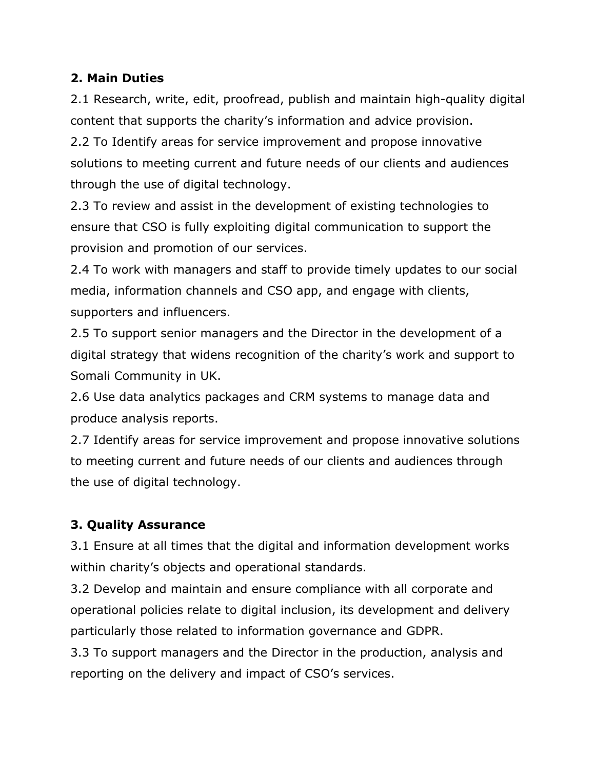## **2. Main Duties**

2.1 Research, write, edit, proofread, publish and maintain high-quality digital content that supports the charity's information and advice provision.

2.2 To Identify areas for service improvement and propose innovative solutions to meeting current and future needs of our clients and audiences through the use of digital technology.

2.3 To review and assist in the development of existing technologies to ensure that CSO is fully exploiting digital communication to support the provision and promotion of our services.

2.4 To work with managers and staff to provide timely updates to our social media, information channels and CSO app, and engage with clients, supporters and influencers.

2.5 To support senior managers and the Director in the development of a digital strategy that widens recognition of the charity's work and support to Somali Community in UK.

2.6 Use data analytics packages and CRM systems to manage data and produce analysis reports.

2.7 Identify areas for service improvement and propose innovative solutions to meeting current and future needs of our clients and audiences through the use of digital technology.

# **3. Quality Assurance**

3.1 Ensure at all times that the digital and information development works within charity's objects and operational standards.

3.2 Develop and maintain and ensure compliance with all corporate and operational policies relate to digital inclusion, its development and delivery particularly those related to information governance and GDPR.

3.3 To support managers and the Director in the production, analysis and reporting on the delivery and impact of CSO's services.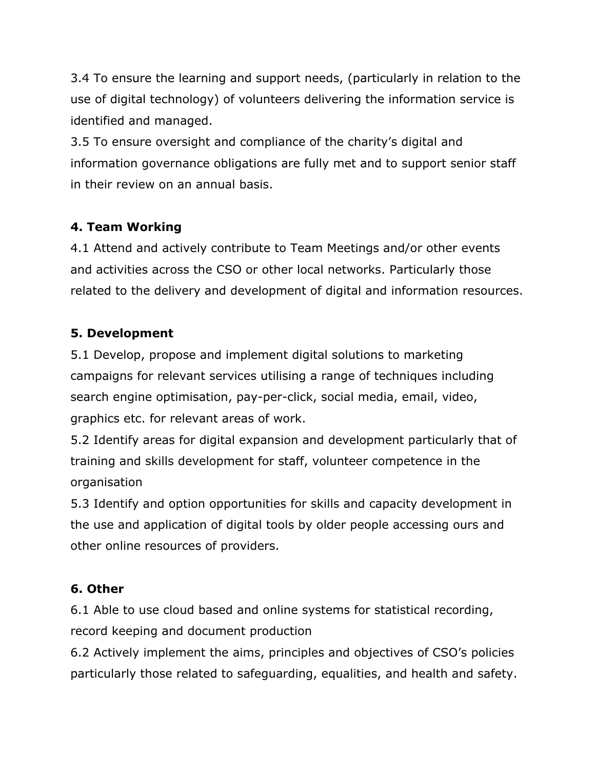3.4 To ensure the learning and support needs, (particularly in relation to the use of digital technology) of volunteers delivering the information service is identified and managed.

3.5 To ensure oversight and compliance of the charity's digital and information governance obligations are fully met and to support senior staff in their review on an annual basis.

# **4. Team Working**

4.1 Attend and actively contribute to Team Meetings and/or other events and activities across the CSO or other local networks. Particularly those related to the delivery and development of digital and information resources.

### **5. Development**

5.1 Develop, propose and implement digital solutions to marketing campaigns for relevant services utilising a range of techniques including search engine optimisation, pay-per-click, social media, email, video, graphics etc. for relevant areas of work.

5.2 Identify areas for digital expansion and development particularly that of training and skills development for staff, volunteer competence in the organisation

5.3 Identify and option opportunities for skills and capacity development in the use and application of digital tools by older people accessing ours and other online resources of providers.

### **6. Other**

6.1 Able to use cloud based and online systems for statistical recording, record keeping and document production

6.2 Actively implement the aims, principles and objectives of CSO's policies particularly those related to safeguarding, equalities, and health and safety.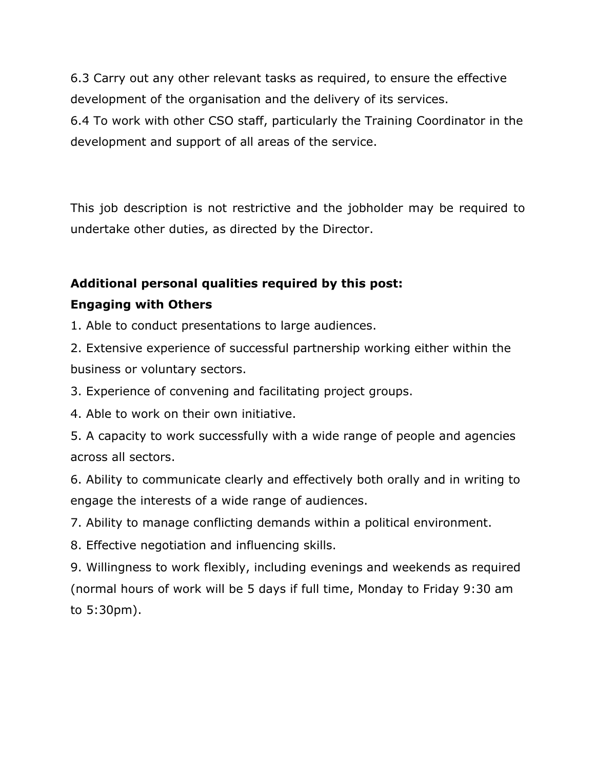6.3 Carry out any other relevant tasks as required, to ensure the effective development of the organisation and the delivery of its services. 6.4 To work with other CSO staff, particularly the Training Coordinator in the development and support of all areas of the service.

This job description is not restrictive and the jobholder may be required to undertake other duties, as directed by the Director.

# **Additional personal qualities required by this post: Engaging with Others**

1. Able to conduct presentations to large audiences.

2. Extensive experience of successful partnership working either within the business or voluntary sectors.

3. Experience of convening and facilitating project groups.

4. Able to work on their own initiative.

5. A capacity to work successfully with a wide range of people and agencies across all sectors.

6. Ability to communicate clearly and effectively both orally and in writing to engage the interests of a wide range of audiences.

7. Ability to manage conflicting demands within a political environment.

8. Effective negotiation and influencing skills.

9. Willingness to work flexibly, including evenings and weekends as required (normal hours of work will be 5 days if full time, Monday to Friday 9:30 am to 5:30pm).